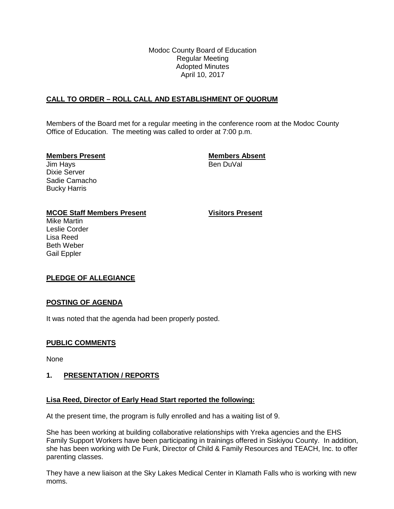Modoc County Board of Education Regular Meeting Adopted Minutes April 10, 2017

# **CALL TO ORDER – ROLL CALL AND ESTABLISHMENT OF QUORUM**

Members of the Board met for a regular meeting in the conference room at the Modoc County Office of Education. The meeting was called to order at 7:00 p.m.

**Members Present Members Absent**

Jim Hays Dixie Server Sadie Camacho Bucky Harris

# **MCOE Staff Members Present Visitors Present**

Mike Martin Leslie Corder Lisa Reed Beth Weber Gail Eppler

# **PLEDGE OF ALLEGIANCE**

## **POSTING OF AGENDA**

It was noted that the agenda had been properly posted.

## **PUBLIC COMMENTS**

None

## **1. PRESENTATION / REPORTS**

## **Lisa Reed, Director of Early Head Start reported the following:**

At the present time, the program is fully enrolled and has a waiting list of 9.

She has been working at building collaborative relationships with Yreka agencies and the EHS Family Support Workers have been participating in trainings offered in Siskiyou County. In addition, she has been working with De Funk, Director of Child & Family Resources and TEACH, Inc. to offer parenting classes.

They have a new liaison at the Sky Lakes Medical Center in Klamath Falls who is working with new moms.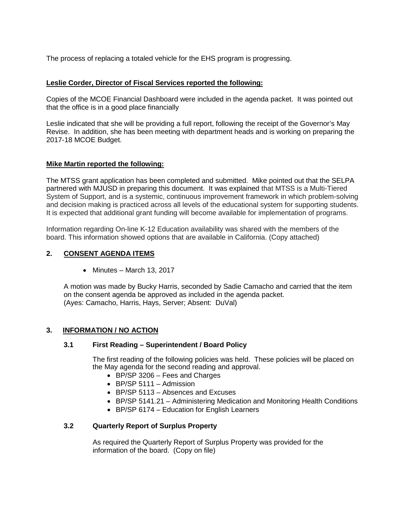The process of replacing a totaled vehicle for the EHS program is progressing.

## **Leslie Corder, Director of Fiscal Services reported the following:**

Copies of the MCOE Financial Dashboard were included in the agenda packet. It was pointed out that the office is in a good place financially

Leslie indicated that she will be providing a full report, following the receipt of the Governor's May Revise. In addition, she has been meeting with department heads and is working on preparing the 2017-18 MCOE Budget.

## **Mike Martin reported the following:**

The MTSS grant application has been completed and submitted. Mike pointed out that the SELPA partnered with MJUSD in preparing this document. It was explained that MTSS is a Multi-Tiered System of Support, and is a systemic, continuous improvement framework in which problem-solving and decision making is practiced across all levels of the educational system for supporting students. It is expected that additional grant funding will become available for implementation of programs.

Information regarding On-line K-12 Education availability was shared with the members of the board. This information showed options that are available in California. (Copy attached)

#### **2. CONSENT AGENDA ITEMS**

• Minutes – March 13, 2017

A motion was made by Bucky Harris, seconded by Sadie Camacho and carried that the item on the consent agenda be approved as included in the agenda packet. (Ayes: Camacho, Harris, Hays, Server; Absent: DuVal)

## **3. INFORMATION / NO ACTION**

#### **3.1 First Reading – Superintendent / Board Policy**

The first reading of the following policies was held. These policies will be placed on the May agenda for the second reading and approval.

- BP/SP 3206 Fees and Charges
- BP/SP 5111 Admission
- BP/SP 5113 Absences and Excuses
- BP/SP 5141.21 Administering Medication and Monitoring Health Conditions
- BP/SP 6174 Education for English Learners

## **3.2 Quarterly Report of Surplus Property**

As required the Quarterly Report of Surplus Property was provided for the information of the board. (Copy on file)